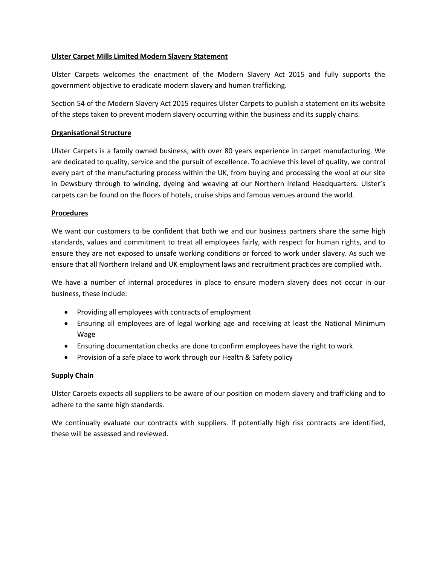## **Ulster Carpet Mills Limited Modern Slavery Statement**

Ulster Carpets welcomes the enactment of the Modern Slavery Act 2015 and fully supports the government objective to eradicate modern slavery and human trafficking.

Section 54 of the Modern Slavery Act 2015 requires Ulster Carpets to publish a statement on its website of the steps taken to prevent modern slavery occurring within the business and its supply chains.

#### **Organisational Structure**

Ulster Carpets is a family owned business, with over 80 years experience in carpet manufacturing. We are dedicated to quality, service and the pursuit of excellence. To achieve this level of quality, we control every part of the manufacturing process within the UK, from buying and processing the wool at our site in Dewsbury through to winding, dyeing and weaving at our Northern Ireland Headquarters. Ulster's carpets can be found on the floors of hotels, cruise ships and famous venues around the world.

## **Procedures**

We want our customers to be confident that both we and our business partners share the same high standards, values and commitment to treat all employees fairly, with respect for human rights, and to ensure they are not exposed to unsafe working conditions or forced to work under slavery. As such we ensure that all Northern Ireland and UK employment laws and recruitment practices are complied with.

We have a number of internal procedures in place to ensure modern slavery does not occur in our business, these include:

- Providing all employees with contracts of employment
- Ensuring all employees are of legal working age and receiving at least the National Minimum Wage
- Ensuring documentation checks are done to confirm employees have the right to work
- Provision of a safe place to work through our Health & Safety policy

# **Supply Chain**

Ulster Carpets expects all suppliers to be aware of our position on modern slavery and trafficking and to adhere to the same high standards.

We continually evaluate our contracts with suppliers. If potentially high risk contracts are identified, these will be assessed and reviewed.